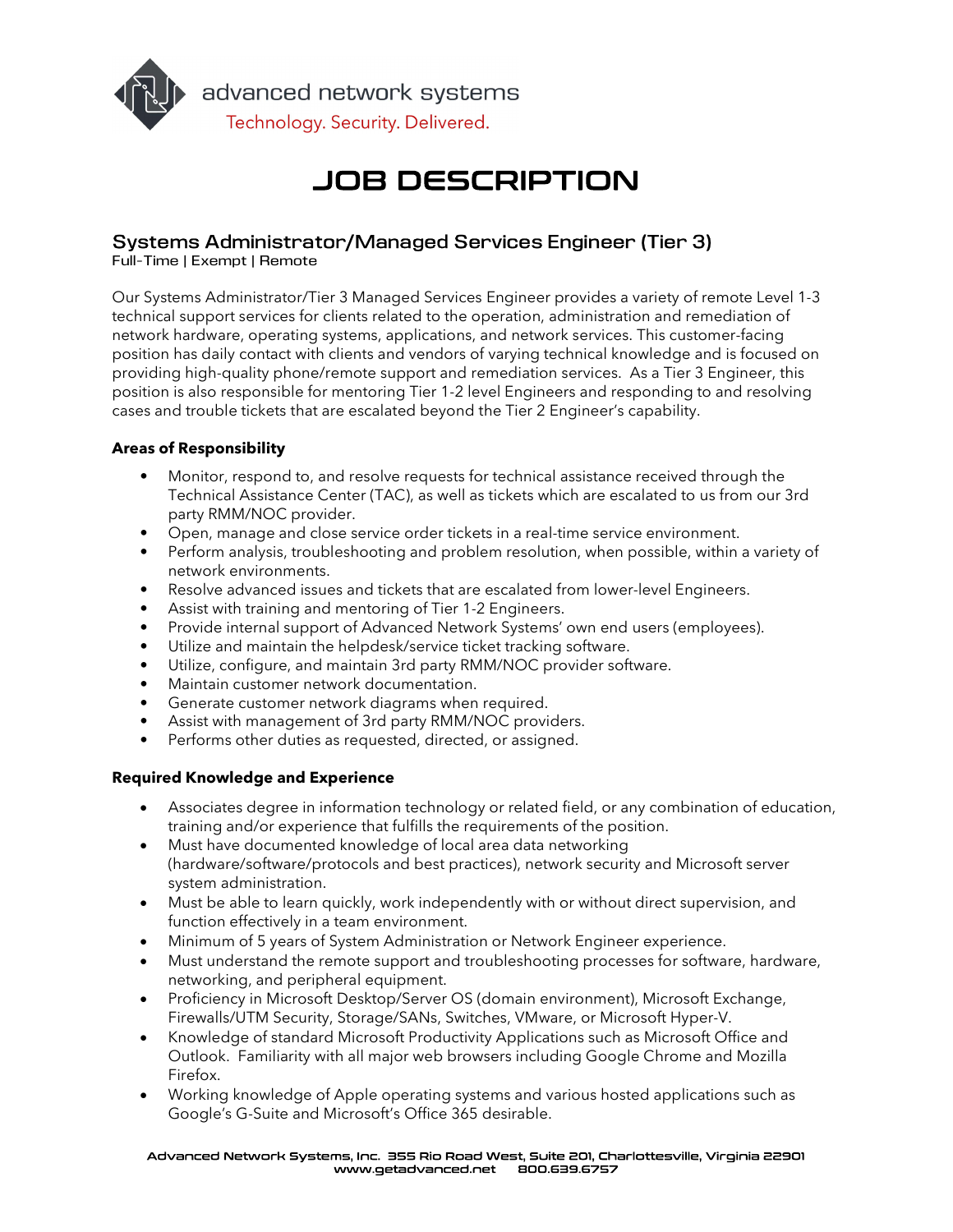

advanced network systems Technology. Security. Delivered.

# **JOB DESCRIPTION**

## Systems Administrator/Managed Services Engineer (Tier 3)

Full-Time | Exempt | Remote

Our Systems Administrator/Tier 3 Managed Services Engineer provides a variety of remote Level 1-3 technical support services for clients related to the operation, administration and remediation of network hardware, operating systems, applications, and network services. This customer-facing position has daily contact with clients and vendors of varying technical knowledge and is focused on providing high-quality phone/remote support and remediation services. As a Tier 3 Engineer, this position is also responsible for mentoring Tier 1-2 level Engineers and responding to and resolving cases and trouble tickets that are escalated beyond the Tier 2 Engineer's capability.

## Areas of Responsibility

- Monitor, respond to, and resolve requests for technical assistance received through the Technical Assistance Center (TAC), as well as tickets which are escalated to us from our 3rd party RMM/NOC provider.
- Open, manage and close service order tickets in a real-time service environment.
- Perform analysis, troubleshooting and problem resolution, when possible, within a variety of network environments.
- Resolve advanced issues and tickets that are escalated from lower-level Engineers.
- Assist with training and mentoring of Tier 1-2 Engineers.
- Provide internal support of Advanced Network Systems' own end users (employees).
- Utilize and maintain the helpdesk/service ticket tracking software.
- Utilize, configure, and maintain 3rd party RMM/NOC provider software.
- Maintain customer network documentation.
- Generate customer network diagrams when required.
- Assist with management of 3rd party RMM/NOC providers.
- Performs other duties as requested, directed, or assigned.

## Required Knowledge and Experience

- Associates degree in information technology or related field, or any combination of education, training and/or experience that fulfills the requirements of the position.
- Must have documented knowledge of local area data networking (hardware/software/protocols and best practices), network security and Microsoft server system administration.
- Must be able to learn quickly, work independently with or without direct supervision, and function effectively in a team environment.
- Minimum of 5 years of System Administration or Network Engineer experience.
- Must understand the remote support and troubleshooting processes for software, hardware, networking, and peripheral equipment.
- Proficiency in Microsoft Desktop/Server OS (domain environment), Microsoft Exchange, Firewalls/UTM Security, Storage/SANs, Switches, VMware, or Microsoft Hyper-V.
- Knowledge of standard Microsoft Productivity Applications such as Microsoft Office and Outlook. Familiarity with all major web browsers including Google Chrome and Mozilla Firefox.
- Working knowledge of Apple operating systems and various hosted applications such as Google's G-Suite and Microsoft's Office 365 desirable.